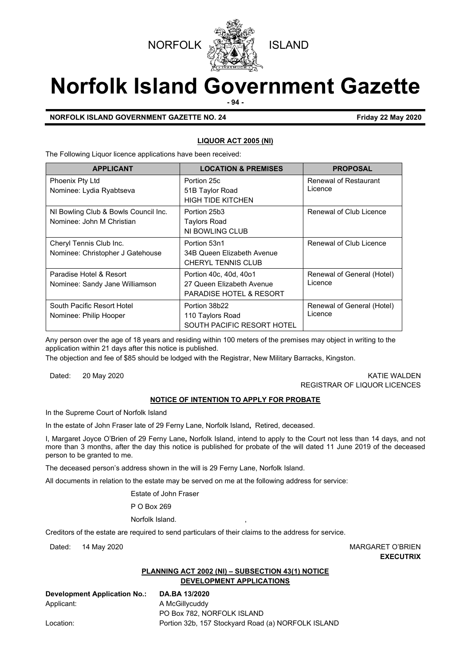



# **Norfolk Island Government Gazette**

**- 94 -**

# **NORFOLK ISLAND GOVERNMENT GAZETTE NO. 24 Friday 22 May 2020**

# **LIQUOR ACT 2005 (NI)**

The Following Liquor licence applications have been received:

| <b>APPLICANT</b>                                                  | <b>LOCATION &amp; PREMISES</b>                                                            | <b>PROPOSAL</b>                       |  |
|-------------------------------------------------------------------|-------------------------------------------------------------------------------------------|---------------------------------------|--|
| Phoenix Pty Ltd<br>Nominee: Lydia Ryabtseva                       | Portion 25c<br>51B Taylor Road                                                            | Renewal of Restaurant<br>Licence      |  |
|                                                                   | <b>HIGH TIDE KITCHEN</b>                                                                  |                                       |  |
| NI Bowling Club & Bowls Council Inc.<br>Nominee: John M Christian | Portion 25b3<br><b>Taylors Road</b><br>NI BOWLING CLUB                                    | Renewal of Club Licence               |  |
| Cheryl Tennis Club Inc.<br>Nominee: Christopher J Gatehouse       | Portion 53n1<br>34B Queen Elizabeth Avenue<br><b>CHERYL TENNIS CLUB</b>                   | Renewal of Club Licence               |  |
| Paradise Hotel & Resort<br>Nominee: Sandy Jane Williamson         | Portion 40c, 40d, 40o1<br>27 Queen Elizabeth Avenue<br><b>PARADISE HOTEL &amp; RESORT</b> | Renewal of General (Hotel)<br>Licence |  |
| South Pacific Resort Hotel<br>Nominee: Philip Hooper              | Portion 38b22<br>110 Taylors Road<br>SOUTH PACIFIC RESORT HOTEL                           | Renewal of General (Hotel)<br>Licence |  |

Any person over the age of 18 years and residing within 100 meters of the premises may object in writing to the application within 21 days after this notice is published.

The objection and fee of \$85 should be lodged with the Registrar, New Military Barracks, Kingston.

Dated: 20 May 2020 20 November 20 November 20 November 20 November 20 November 20 November 20 November 20 November 20 November 20 November 20 November 20 November 20 November 20 November 20 November 20 November 20 November REGISTRAR OF LIQUOR LICENCES

# **NOTICE OF INTENTION TO APPLY FOR PROBATE**

In the Supreme Court of Norfolk Island

In the estate of John Fraser late of 29 Ferny Lane, Norfolk Island**,** Retired, deceased.

I, Margaret Joyce O'Brien of 29 Ferny Lane**,** Norfolk Island, intend to apply to the Court not less than 14 days, and not more than 3 months, after the day this notice is published for probate of the will dated 11 June 2019 of the deceased person to be granted to me.

The deceased person's address shown in the will is 29 Ferny Lane, Norfolk Island.

All documents in relation to the estate may be served on me at the following address for service:

Estate of John Fraser

P O Box 269

Norfolk Island.

Creditors of the estate are required to send particulars of their claims to the address for service.

Dated: 14 May 2020 MARGARET O'BRIEN **EXECUTRIX**

# **PLANNING ACT 2002 (NI) – SUBSECTION 43(1) NOTICE DEVELOPMENT APPLICATIONS**

**Development Application No.: DA.BA 13/2020** Applicant: A McGillycuddy

PO Box 782, NORFOLK ISLAND Location: **Portion 32b, 157 Stockyard Road (a) NORFOLK ISLAND**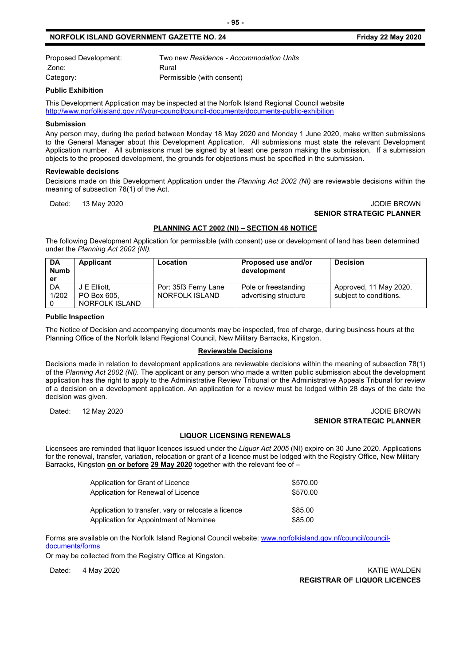# **NORFOLK ISLAND GOVERNMENT GAZETTE NO. 24 Friday 22 May 2020**

| Proposed Development: | Two new Residence - Accommodation Units |
|-----------------------|-----------------------------------------|
| Zone:                 | Rural                                   |
| Category:             | Permissible (with consent)              |

#### **Public Exhibition**

This Development Application may be inspected at the Norfolk Island Regional Council website <http://www.norfolkisland.gov.nf/your-council/council-documents/documents-public-exhibition>

#### **Submission**

Any person may, during the period between Monday 18 May 2020 and Monday 1 June 2020, make written submissions to the General Manager about this Development Application. All submissions must state the relevant Development Application number. All submissions must be signed by at least one person making the submission. If a submission objects to the proposed development, the grounds for objections must be specified in the submission.

#### **Reviewable decisions**

Decisions made on this Development Application under the *Planning Act 2002 (NI)* are reviewable decisions within the meaning of subsection 78(1) of the Act.

#### Dated: 13 May 2020 **JODIE BROWN SENIOR STRATEGIC PLANNER**

#### **PLANNING ACT 2002 (NI) – SECTION 48 NOTICE**

The following Development Application for permissible (with consent) use or development of land has been determined under the *Planning Act 2002 (NI).*

| <b>DA</b><br><b>Numb</b><br>er | Applicant      | Location             | Proposed use and/or<br>development | <b>Decision</b>        |
|--------------------------------|----------------|----------------------|------------------------------------|------------------------|
| DA                             | J E Elliott.   | Por: 35f3 Ferny Lane | Pole or freestanding               | Approved, 11 May 2020, |
| 1/202                          | PO Box 605.    | NORFOLK ISLAND       | advertising structure              | subject to conditions. |
|                                | NORFOLK ISLAND |                      |                                    |                        |

#### **Public Inspection**

The Notice of Decision and accompanying documents may be inspected, free of charge, during business hours at the Planning Office of the Norfolk Island Regional Council, New Military Barracks, Kingston.

#### **Reviewable Decisions**

Decisions made in relation to development applications are reviewable decisions within the meaning of subsection 78(1) of the *Planning Act 2002 (NI).* The applicant or any person who made a written public submission about the development application has the right to apply to the Administrative Review Tribunal or the Administrative Appeals Tribunal for review of a decision on a development application. An application for a review must be lodged within 28 days of the date the decision was given.

#### Dated: 12 May 2020 **Dated: 12 May 2020 SENIOR STRATEGIC PLANNER**

#### **LIQUOR LICENSING RENEWALS**

Licensees are reminded that liquor licences issued under the *Liquor Act 2005* (NI) expire on 30 June 2020. Applications for the renewal, transfer, variation, relocation or grant of a licence must be lodged with the Registry Office, New Military Barracks, Kingston **on or before 29 May 2020** together with the relevant fee of –

| Application for Grant of Licence                    | \$570.00 |
|-----------------------------------------------------|----------|
| Application for Renewal of Licence                  | \$570.00 |
| Application to transfer, vary or relocate a licence | \$85.00  |
| Application for Appointment of Nominee              | \$85.00  |

Forms are available on the Norfolk Island Regional Council website: [www.norfolkisland.gov.nf/council/council](http://www.norfolkisland.gov.nf/council/council-documents/forms)[documents/forms](http://www.norfolkisland.gov.nf/council/council-documents/forms)

Or may be collected from the Registry Office at Kingston.

Dated: 4 May 2020 KATIE WALDEN **REGISTRAR OF LIQUOR LICENCES**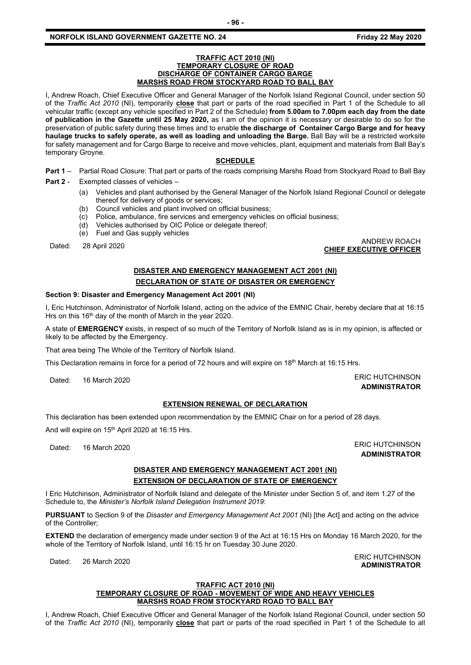# **NORFOLK ISLAND GOVERNMENT GAZETTE NO. 24 Friday 22 May 2020**

#### **TRAFFIC ACT 2010 (NI) TEMPORARY CLOSURE OF ROAD DISCHARGE OF CONTAINER CARGO BARGE MARSHS ROAD FROM STOCKYARD ROAD TO BALL BAY**

I, Andrew Roach, Chief Executive Officer and General Manager of the Norfolk Island Regional Council, under section 50 of the *Traffic Act 2010* (NI), temporarily **close** that part or parts of the road specified in Part 1 of the Schedule to all vehicular traffic (except any vehicle specified in Part 2 of the Schedule) **from 5.00am to 7.00pm each day from the date of publication in the Gazette until 25 May 2020,** as I am of the opinion it is necessary or desirable to do so for the preservation of public safety during these times and to enable **the discharge of Container Cargo Barge and for heavy haulage trucks to safely operate, as well as loading and unloading the Barge.** Ball Bay will be a restricted worksite for safety management and for Cargo Barge to receive and move vehicles, plant, equipment and materials from Ball Bay's temporary Groyne.

#### **SCHEDULE**

**Part 1** – Partial Road Closure: That part or parts of the roads comprising Marshs Road from Stockyard Road to Ball Bay

**Part 2** - Exempted classes of vehicles –

- (a) Vehicles and plant authorised by the General Manager of the Norfolk Island Regional Council or delegate thereof for delivery of goods or services;
- (b) Council vehicles and plant involved on official business;
- (c) Police, ambulance, fire services and emergency vehicles on official business;
- (d) Vehicles authorised by OIC Police or delegate thereof;
- (e) Fuel and Gas supply vehicles

ANDREW ROACH<br>CHIEF EXECUTIVE OFFICER بالتي تصرف المستقلة المستقلة المستقلة المستقلة المستقلة المستقلة المستقلة المستقلة الم

# **DISASTER AND EMERGENCY MANAGEMENT ACT 2001 (NI) DECLARATION OF STATE OF DISASTER OR EMERGENCY**

#### **Section 9: Disaster and Emergency Management Act 2001 (NI)**

I, Eric Hutchinson, Administrator of Norfolk Island, acting on the advice of the EMNIC Chair, hereby declare that at 16:15 Hrs on this 16<sup>th</sup> day of the month of March in the year 2020.

A state of **EMERGENCY** exists, in respect of so much of the Territory of Norfolk Island as is in my opinion, is affected or likely to be affected by the Emergency.

That area being The Whole of the Territory of Norfolk Island.

This Declaration remains in force for a period of 72 hours and will expire on 18<sup>th</sup> March at 16:15 Hrs.

Dated: 16 March 2020 **ERIC HUTCHINSON** 

# **EXTENSION RENEWAL OF DECLARATION**

This declaration has been extended upon recommendation by the EMNIC Chair on for a period of 28 days.

And will expire on 15<sup>th</sup> April 2020 at 16:15 Hrs.

Dated: 16 March 2020 **ERIC HUTCHINSON ADMINISTRATOR**

# **DISASTER AND EMERGENCY MANAGEMENT ACT 2001 (NI)**

# **EXTENSION OF DECLARATION OF STATE OF EMERGENCY**

I Eric Hutchinson, Administrator of Norfolk Island and delegate of the Minister under Section 5 of, and item 1.27 of the Schedule to, the *Minister's Norfolk Island Delegation Instrument 2019*:

**PURSUANT** to Section 9 of the *Disaster and Emergency Management Act 2001* (NI) [the Act] and acting on the advice of the Controller;

**EXTEND** the declaration of emergency made under section 9 of the Act at 16:15 Hrs on Monday 16 March 2020, for the whole of the Territory of Norfolk Island, until 16:15 hr on Tuesday 30 June 2020.

#### **TRAFFIC ACT 2010 (NI) TEMPORARY CLOSURE OF ROAD - MOVEMENT OF WIDE AND HEAVY VEHICLES MARSHS ROAD FROM STOCKYARD ROAD TO BALL BAY**

I, Andrew Roach, Chief Executive Officer and General Manager of the Norfolk Island Regional Council, under section 50 of the *Traffic Act 2010* (NI), temporarily **close** that part or parts of the road specified in Part 1 of the Schedule to all

Dated: 26 March 2020 ERIC HUTCHINSON **ADMINISTRATOR**

**ADMINISTRATOR**

**CHIEF EXECUTIVE OFFICER**